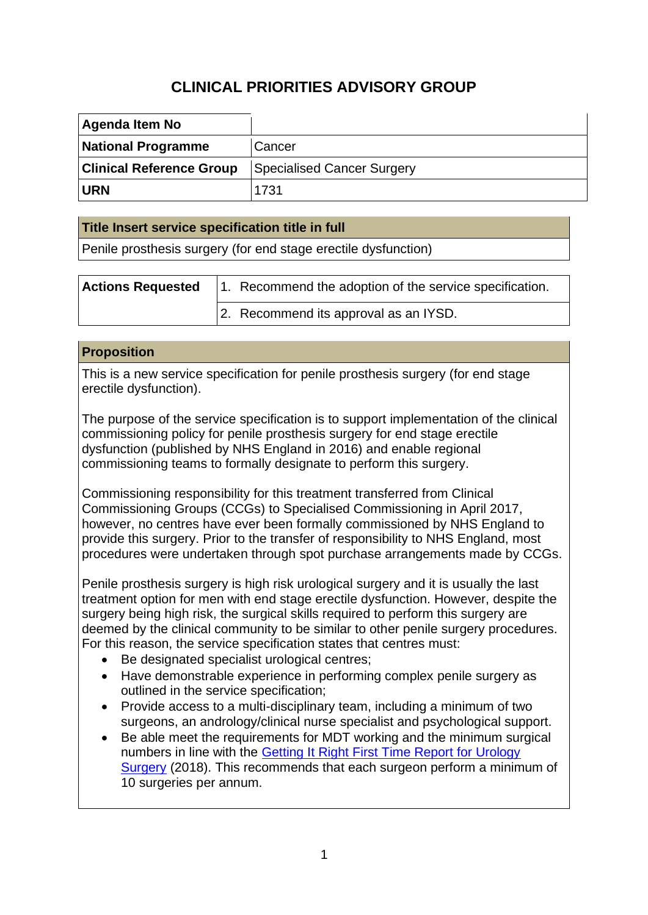# **CLINICAL PRIORITIES ADVISORY GROUP**

| Agenda Item No                  |                                   |
|---------------------------------|-----------------------------------|
| <b>National Programme</b>       | Cancer                            |
| <b>Clinical Reference Group</b> | <b>Specialised Cancer Surgery</b> |
| <b>URN</b>                      | 1731                              |

## **Title Insert service specification title in full**

Penile prosthesis surgery (for end stage erectile dysfunction)

| <b>Actions Requested</b> | 1. Recommend the adoption of the service specification. |
|--------------------------|---------------------------------------------------------|
|                          | 2. Recommend its approval as an IYSD.                   |

### **Proposition**

This is a new service specification for penile prosthesis surgery (for end stage erectile dysfunction).

The purpose of the service specification is to support implementation of the clinical commissioning policy for penile prosthesis surgery for end stage erectile dysfunction (published by NHS England in 2016) and enable regional commissioning teams to formally designate to perform this surgery.

Commissioning responsibility for this treatment transferred from Clinical Commissioning Groups (CCGs) to Specialised Commissioning in April 2017, however, no centres have ever been formally commissioned by NHS England to provide this surgery. Prior to the transfer of responsibility to NHS England, most procedures were undertaken through spot purchase arrangements made by CCGs.

Penile prosthesis surgery is high risk urological surgery and it is usually the last treatment option for men with end stage erectile dysfunction. However, despite the surgery being high risk, the surgical skills required to perform this surgery are deemed by the clinical community to be similar to other penile surgery procedures. For this reason, the service specification states that centres must:

- Be designated specialist urological centres;
- Have demonstrable experience in performing complex penile surgery as outlined in the service specification;
- Provide access to a multi-disciplinary team, including a minimum of two surgeons, an andrology/clinical nurse specialist and psychological support.
- Be able meet the requirements for MDT working and the minimum surgical numbers in line with the [Getting It Right First Time Report for Urology](https://gettingitrightfirsttime.co.uk/surgical-specialty/urology-surgery/)  [Surgery](https://gettingitrightfirsttime.co.uk/surgical-specialty/urology-surgery/) (2018). This recommends that each surgeon perform a minimum of 10 surgeries per annum.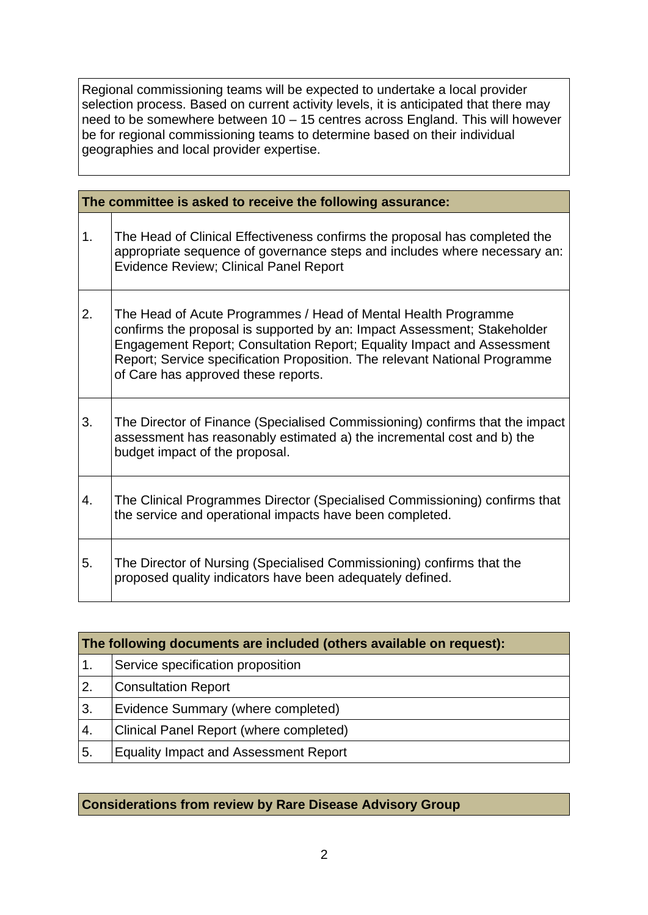Regional commissioning teams will be expected to undertake a local provider selection process. Based on current activity levels, it is anticipated that there may need to be somewhere between  $10 - 15$  centres across England. This will however be for regional commissioning teams to determine based on their individual geographies and local provider expertise.

| The committee is asked to receive the following assurance: |                                                                                                                                                                                                                                                                                                                                           |  |  |  |
|------------------------------------------------------------|-------------------------------------------------------------------------------------------------------------------------------------------------------------------------------------------------------------------------------------------------------------------------------------------------------------------------------------------|--|--|--|
| 1.                                                         | The Head of Clinical Effectiveness confirms the proposal has completed the<br>appropriate sequence of governance steps and includes where necessary an:<br><b>Evidence Review; Clinical Panel Report</b>                                                                                                                                  |  |  |  |
| 2.                                                         | The Head of Acute Programmes / Head of Mental Health Programme<br>confirms the proposal is supported by an: Impact Assessment; Stakeholder<br>Engagement Report; Consultation Report; Equality Impact and Assessment<br>Report; Service specification Proposition. The relevant National Programme<br>of Care has approved these reports. |  |  |  |
| 3.                                                         | The Director of Finance (Specialised Commissioning) confirms that the impact<br>assessment has reasonably estimated a) the incremental cost and b) the<br>budget impact of the proposal.                                                                                                                                                  |  |  |  |
| 4.                                                         | The Clinical Programmes Director (Specialised Commissioning) confirms that<br>the service and operational impacts have been completed.                                                                                                                                                                                                    |  |  |  |
| 5.                                                         | The Director of Nursing (Specialised Commissioning) confirms that the<br>proposed quality indicators have been adequately defined.                                                                                                                                                                                                        |  |  |  |

| The following documents are included (others available on request): |                                              |  |  |
|---------------------------------------------------------------------|----------------------------------------------|--|--|
| $\overline{1}$ .                                                    | Service specification proposition            |  |  |
| 2.                                                                  | <b>Consultation Report</b>                   |  |  |
| 3.                                                                  | Evidence Summary (where completed)           |  |  |
| 4.                                                                  | Clinical Panel Report (where completed)      |  |  |
| 5.                                                                  | <b>Equality Impact and Assessment Report</b> |  |  |

## **Considerations from review by Rare Disease Advisory Group**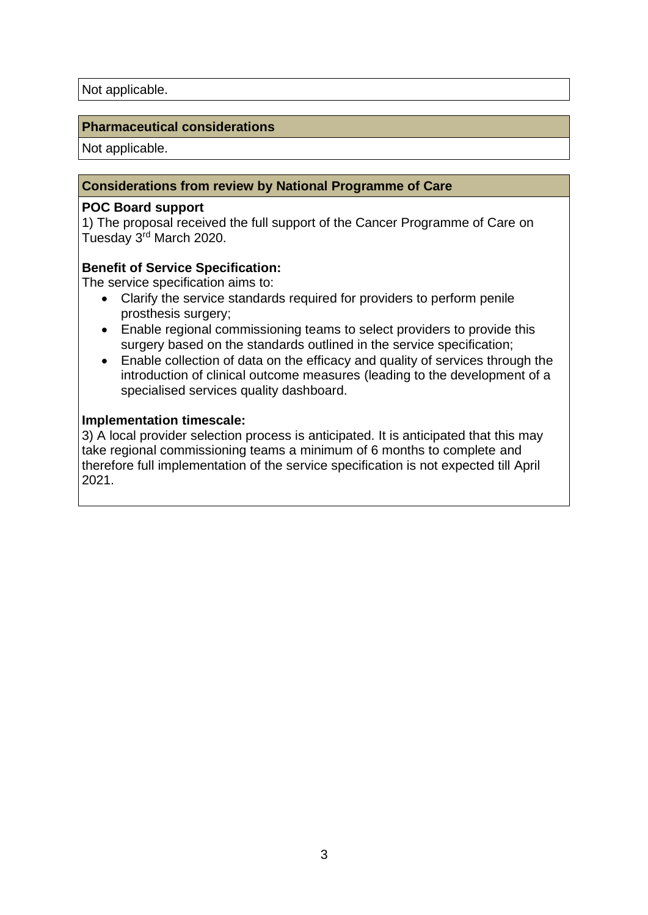## **Pharmaceutical considerations**

Not applicable.

### **Considerations from review by National Programme of Care**

#### **POC Board support**

1) The proposal received the full support of the Cancer Programme of Care on Tuesday 3rd March 2020.

### **Benefit of Service Specification:**

The service specification aims to:

- Clarify the service standards required for providers to perform penile prosthesis surgery;
- Enable regional commissioning teams to select providers to provide this surgery based on the standards outlined in the service specification;
- Enable collection of data on the efficacy and quality of services through the introduction of clinical outcome measures (leading to the development of a specialised services quality dashboard.

#### **Implementation timescale:**

3) A local provider selection process is anticipated. It is anticipated that this may take regional commissioning teams a minimum of 6 months to complete and therefore full implementation of the service specification is not expected till April 2021.